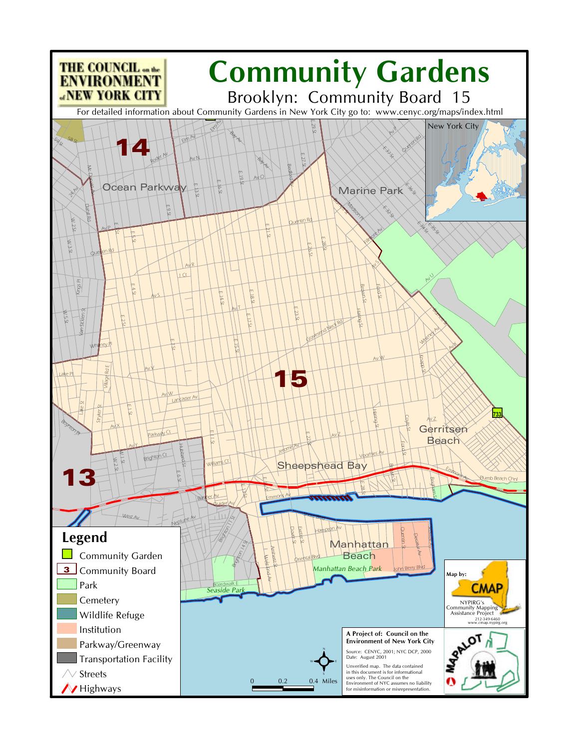